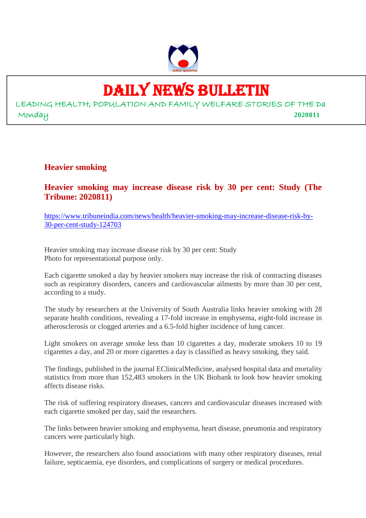

# DAILY NEWS BULLETIN

LEADING HEALTH, POPULATION AND FAMILY WELFARE STORIES OF THE Da Monday **2020811**

# **Heavier smoking**

**Heavier smoking may increase disease risk by 30 per cent: Study (The Tribune: 2020811)**

https://www.tribuneindia.com/news/health/heavier-smoking-may-increase-disease-risk-by-30-per-cent-study-124703

Heavier smoking may increase disease risk by 30 per cent: Study Photo for representational purpose only.

Each cigarette smoked a day by heavier smokers may increase the risk of contracting diseases such as respiratory disorders, cancers and cardiovascular ailments by more than 30 per cent, according to a study.

The study by researchers at the University of South Australia links heavier smoking with 28 separate health conditions, revealing a 17-fold increase in emphysema, eight-fold increase in atherosclerosis or clogged arteries and a 6.5-fold higher incidence of lung cancer.

Light smokers on average smoke less than 10 cigarettes a day, moderate smokers 10 to 19 cigarettes a day, and 20 or more cigarettes a day is classified as heavy smoking, they said.

The findings, published in the journal EClinicalMedicine, analysed hospital data and mortality statistics from more than 152,483 smokers in the UK Biobank to look how heavier smoking affects disease risks.

The risk of suffering respiratory diseases, cancers and cardiovascular diseases increased with each cigarette smoked per day, said the researchers.

The links between heavier smoking and emphysema, heart disease, pneumonia and respiratory cancers were particularly high.

However, the researchers also found associations with many other respiratory diseases, renal failure, septicaemia, eye disorders, and complications of surgery or medical procedures.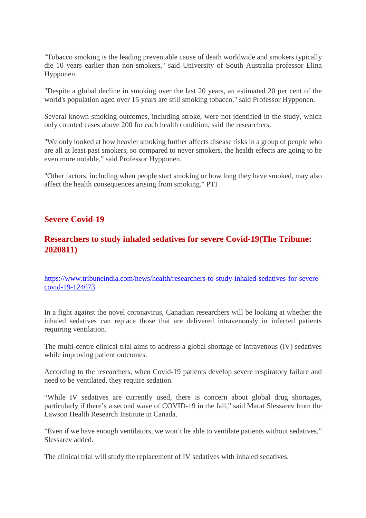"Tobacco smoking is the leading preventable cause of death worldwide and smokers typically die 10 years earlier than non-smokers," said University of South Australia professor Elina Hypponen.

"Despite a global decline in smoking over the last 20 years, an estimated 20 per cent of the world's population aged over 15 years are still smoking tobacco," said Professor Hypponen.

Several known smoking outcomes, including stroke, were not identified in the study, which only counted cases above 200 for each health condition, said the researchers.

"We only looked at how heavier smoking further affects disease risks in a group of people who are all at least past smokers, so compared to never smokers, the health effects are going to be even more notable," said Professor Hypponen.

"Other factors, including when people start smoking or how long they have smoked, may also affect the health consequences arising from smoking." PTI

## **Severe Covid-19**

# **Researchers to study inhaled sedatives for severe Covid-19(The Tribune: 2020811)**

https://www.tribuneindia.com/news/health/researchers-to-study-inhaled-sedatives-for-severecovid-19-124673

In a fight against the novel coronavirus, Canadian researchers will be looking at whether the inhaled sedatives can replace those that are delivered intravenously in infected patients requiring ventilation.

The multi-centre clinical trial aims to address a global shortage of intravenous (IV) sedatives while improving patient outcomes.

According to the researchers, when Covid-19 patients develop severe respiratory failure and need to be ventilated, they require sedation.

"While IV sedatives are currently used, there is concern about global drug shortages, particularly if there's a second wave of COVID-19 in the fall," said Marat Slessarev from the Lawson Health Research Institute in Canada.

"Even if we have enough ventilators, we won't be able to ventilate patients without sedatives," Slessarev added.

The clinical trial will study the replacement of IV sedatives with inhaled sedatives.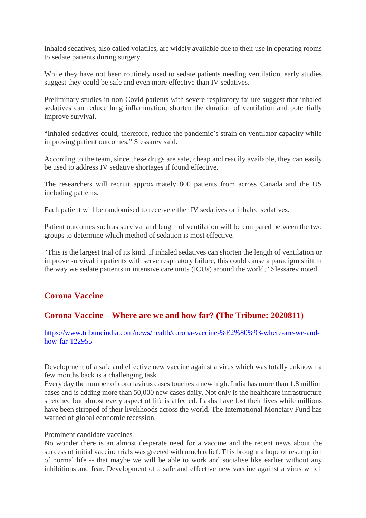Inhaled sedatives, also called volatiles, are widely available due to their use in operating rooms to sedate patients during surgery.

While they have not been routinely used to sedate patients needing ventilation, early studies suggest they could be safe and even more effective than IV sedatives.

Preliminary studies in non-Covid patients with severe respiratory failure suggest that inhaled sedatives can reduce lung inflammation, shorten the duration of ventilation and potentially improve survival.

"Inhaled sedatives could, therefore, reduce the pandemic's strain on ventilator capacity while improving patient outcomes," Slessarev said.

According to the team, since these drugs are safe, cheap and readily available, they can easily be used to address IV sedative shortages if found effective.

The researchers will recruit approximately 800 patients from across Canada and the US including patients.

Each patient will be randomised to receive either IV sedatives or inhaled sedatives.

Patient outcomes such as survival and length of ventilation will be compared between the two groups to determine which method of sedation is most effective.

"This is the largest trial of its kind. If inhaled sedatives can shorten the length of ventilation or improve survival in patients with serve respiratory failure, this could cause a paradigm shift in the way we sedate patients in intensive care units (ICUs) around the world," Slessarev noted.

# **Corona Vaccine**

## **Corona Vaccine – Where are we and how far? (The Tribune: 2020811)**

https://www.tribuneindia.com/news/health/corona-vaccine-%E2%80%93-where-are-we-andhow-far-122955

Development of a safe and effective new vaccine against a virus which was totally unknown a few months back is a challenging task

Every day the number of coronavirus cases touches a new high. India has more than 1.8 million cases and is adding more than 50,000 new cases daily. Not only is the healthcare infrastructure stretched but almost every aspect of life is affected. Lakhs have lost their lives while millions have been stripped of their livelihoods across the world. The International Monetary Fund has warned of global economic recession.

#### Prominent candidate vaccines

No wonder there is an almost desperate need for a vaccine and the recent news about the success of initial vaccine trials was greeted with much relief. This brought a hope of resumption of normal life -- that maybe we will be able to work and socialise like earlier without any inhibitions and fear. Development of a safe and effective new vaccine against a virus which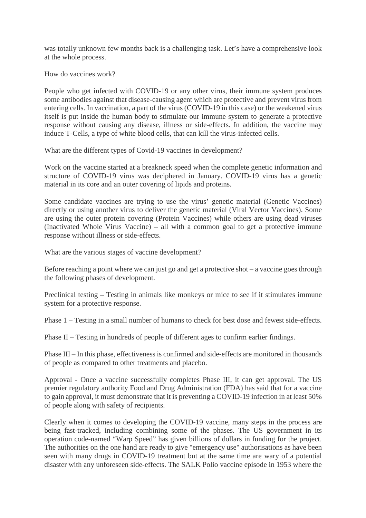was totally unknown few months back is a challenging task. Let's have a comprehensive look at the whole process.

How do vaccines work?

People who get infected with COVID-19 or any other virus, their immune system produces some antibodies against that disease-causing agent which are protective and prevent virus from entering cells. In vaccination, a part of the virus (COVID-19 in this case) or the weakened virus itself is put inside the human body to stimulate our immune system to generate a protective response without causing any disease, illness or side-effects. In addition, the vaccine may induce T-Cells, a type of white blood cells, that can kill the virus-infected cells.

What are the different types of Covid-19 vaccines in development?

Work on the vaccine started at a breakneck speed when the complete genetic information and structure of COVID-19 virus was deciphered in January. COVID-19 virus has a genetic material in its core and an outer covering of lipids and proteins.

Some candidate vaccines are trying to use the virus' genetic material (Genetic Vaccines) directly or using another virus to deliver the genetic material (Viral Vector Vaccines). Some are using the outer protein covering (Protein Vaccines) while others are using dead viruses (Inactivated Whole Virus Vaccine) – all with a common goal to get a protective immune response without illness or side-effects.

What are the various stages of vaccine development?

Before reaching a point where we can just go and get a protective shot – a vaccine goes through the following phases of development.

Preclinical testing – Testing in animals like monkeys or mice to see if it stimulates immune system for a protective response.

Phase 1 – Testing in a small number of humans to check for best dose and fewest side-effects.

Phase II – Testing in hundreds of people of different ages to confirm earlier findings.

Phase III – In this phase, effectiveness is confirmed and side-effects are monitored in thousands of people as compared to other treatments and placebo.

Approval - Once a vaccine successfully completes Phase III, it can get approval. The US premier regulatory authority Food and Drug Administration (FDA) has said that for a vaccine to gain approval, it must demonstrate that it is preventing a COVID-19 infection in at least 50% of people along with safety of recipients.

Clearly when it comes to developing the COVID-19 vaccine, many steps in the process are being fast-tracked, including combining some of the phases. The US government in its operation code-named "Warp Speed" has given billions of dollars in funding for the project. The authorities on the one hand are ready to give "emergency use" authorisations as have been seen with many drugs in COVID-19 treatment but at the same time are wary of a potential disaster with any unforeseen side-effects. The SALK Polio vaccine episode in 1953 where the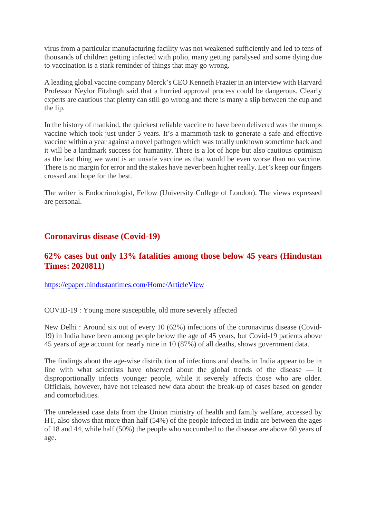virus from a particular manufacturing facility was not weakened sufficiently and led to tens of thousands of children getting infected with polio, many getting paralysed and some dying due to vaccination is a stark reminder of things that may go wrong.

A leading global vaccine company Merck's CEO Kenneth Frazier in an interview with Harvard Professor Neylor Fitzhugh said that a hurried approval process could be dangerous. Clearly experts are cautious that plenty can still go wrong and there is many a slip between the cup and the lip.

In the history of mankind, the quickest reliable vaccine to have been delivered was the mumps vaccine which took just under 5 years. It's a mammoth task to generate a safe and effective vaccine within a year against a novel pathogen which was totally unknown sometime back and it will be a landmark success for humanity. There is a lot of hope but also cautious optimism as the last thing we want is an unsafe vaccine as that would be even worse than no vaccine. There is no margin for error and the stakes have never been higher really. Let's keep our fingers crossed and hope for the best.

The writer is Endocrinologist, Fellow (University College of London). The views expressed are personal.

# **Coronavirus disease (Covid-19)**

# **62% cases but only 13% fatalities among those below 45 years (Hindustan Times: 2020811)**

https://epaper.hindustantimes.com/Home/ArticleView

COVID-19 : Young more susceptible, old more severely affected

New Delhi : Around six out of every 10 (62%) infections of the coronavirus disease (Covid-19) in India have been among people below the age of 45 years, but Covid-19 patients above 45 years of age account for nearly nine in 10 (87%) of all deaths, shows government data.

The findings about the age-wise distribution of infections and deaths in India appear to be in line with what scientists have observed about the global trends of the disease — it disproportionally infects younger people, while it severely affects those who are older. Officials, however, have not released new data about the break-up of cases based on gender and comorbidities.

The unreleased case data from the Union ministry of health and family welfare, accessed by HT, also shows that more than half (54%) of the people infected in India are between the ages of 18 and 44, while half (50%) the people who succumbed to the disease are above 60 years of age.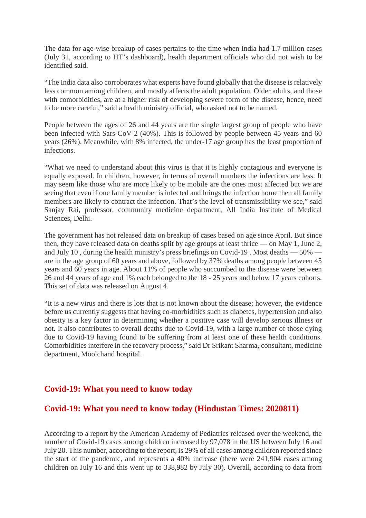The data for age-wise breakup of cases pertains to the time when India had 1.7 million cases (July 31, according to HT's dashboard), health department officials who did not wish to be identified said.

"The India data also corroborates what experts have found globally that the disease is relatively less common among children, and mostly affects the adult population. Older adults, and those with comorbidities, are at a higher risk of developing severe form of the disease, hence, need to be more careful," said a health ministry official, who asked not to be named.

People between the ages of 26 and 44 years are the single largest group of people who have been infected with Sars-CoV-2 (40%). This is followed by people between 45 years and 60 years (26%). Meanwhile, with 8% infected, the under-17 age group has the least proportion of infections.

"What we need to understand about this virus is that it is highly contagious and everyone is equally exposed. In children, however, in terms of overall numbers the infections are less. It may seem like those who are more likely to be mobile are the ones most affected but we are seeing that even if one family member is infected and brings the infection home then all family members are likely to contract the infection. That's the level of transmissibility we see," said Sanjay Rai, professor, community medicine department, All India Institute of Medical Sciences, Delhi.

The government has not released data on breakup of cases based on age since April. But since then, they have released data on deaths split by age groups at least thrice — on May 1, June 2, and July 10 , during the health ministry's press briefings on Covid-19 . Most deaths — 50% are in the age group of 60 years and above, followed by 37% deaths among people between 45 years and 60 years in age. About 11% of people who succumbed to the disease were between 26 and 44 years of age and 1% each belonged to the 18 - 25 years and below 17 years cohorts. This set of data was released on August 4.

"It is a new virus and there is lots that is not known about the disease; however, the evidence before us currently suggests that having co-morbidities such as diabetes, hypertension and also obesity is a key factor in determining whether a positive case will develop serious illness or not. It also contributes to overall deaths due to Covid-19, with a large number of those dying due to Covid-19 having found to be suffering from at least one of these health conditions. Comorbidities interfere in the recovery process," said Dr Srikant Sharma, consultant, medicine department, Moolchand hospital.

# **Covid-19: What you need to know today**

# **Covid-19: What you need to know today (Hindustan Times: 2020811)**

According to a report by the American Academy of Pediatrics released over the weekend, the number of Covid-19 cases among children increased by 97,078 in the US between July 16 and July 20. This number, according to the report, is 29% of all cases among children reported since the start of the pandemic, and represents a 40% increase (there were 241,904 cases among children on July 16 and this went up to 338,982 by July 30). Overall, according to data from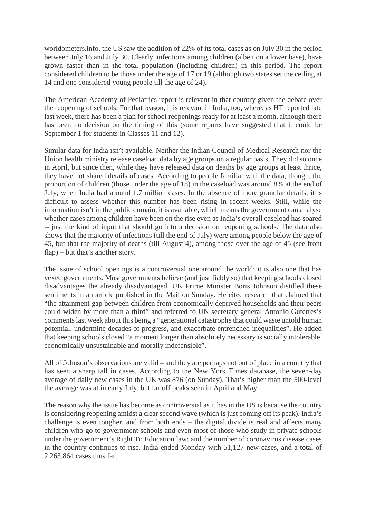worldometers.info, the US saw the addition of 22% of its total cases as on July 30 in the period between July 16 and July 30. Clearly, infections among children (albeit on a lower base), have grown faster than in the total population (including children) in this period. The report considered children to be those under the age of 17 or 19 (although two states set the ceiling at 14 and one considered young people till the age of 24).

The American Academy of Pediatrics report is relevant in that country given the debate over the reopening of schools. For that reason, it is relevant in India, too, where, as HT reported late last week, there has been a plan for school reopenings ready for at least a month, although there has been no decision on the timing of this (some reports have suggested that it could be September 1 for students in Classes 11 and 12).

Similar data for India isn't available. Neither the Indian Council of Medical Research nor the Union health ministry release caseload data by age groups on a regular basis. They did so once in April, but since then, while they have released data on deaths by age groups at least thrice, they have not shared details of cases. According to people familiar with the data, though, the proportion of children (those under the age of 18) in the caseload was around 8% at the end of July, when India had around 1.7 million cases. In the absence of more granular details, it is difficult to assess whether this number has been rising in recent weeks. Still, while the information isn't in the public domain, it is available, which means the government can analyse whether cases among children have been on the rise even as India's overall caseload has soared -- just the kind of input that should go into a decision on reopening schools. The data also shows that the majority of infections (till the end of July) were among people below the age of 45, but that the majority of deaths (till August 4), among those over the age of 45 (see front flap) – but that's another story.

The issue of school openings is a controversial one around the world; it is also one that has vexed governments. Most governments believe (and justifiably so) that keeping schools closed disadvantages the already disadvantaged. UK Prime Minister Boris Johnson distilled these sentiments in an article published in the Mail on Sunday. He cited research that claimed that "the attainment gap between children from economically deprived households and their peers could widen by more than a third" and referred to UN secretary general Antonio Guterres's comments last week about this being a "generational catastrophe that could waste untold human potential, undermine decades of progress, and exacerbate entrenched inequalities". He added that keeping schools closed "a moment longer than absolutely necessary is socially intolerable, economically unsustainable and morally indefensible".

All of Johnson's observations are valid – and they are perhaps not out of place in a country that has seen a sharp fall in cases. According to the New York Times database, the seven-day average of daily new cases in the UK was 876 (on Sunday). That's higher than the 500-level the average was at in early July, but far off peaks seen in April and May.

The reason why the issue has become as controversial as it has in the US is because the country is considering reopening amidst a clear second wave (which is just coming off its peak). India's challenge is even tougher, and from both ends – the digital divide is real and affects many children who go to government schools and even most of those who study in private schools under the government's Right To Education law; and the number of coronavirus disease cases in the country continues to rise. India ended Monday with 51,127 new cases, and a total of 2,263,864 cases thus far.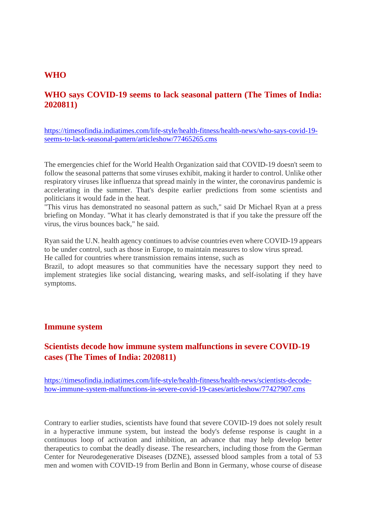#### **WHO**

# **WHO says COVID-19 seems to lack seasonal pattern (The Times of India: 2020811)**

https://timesofindia.indiatimes.com/life-style/health-fitness/health-news/who-says-covid-19 seems-to-lack-seasonal-pattern/articleshow/77465265.cms

The emergencies chief for the World Health Organization said that COVID-19 doesn't seem to follow the seasonal patterns that some viruses exhibit, making it harder to control. Unlike other respiratory viruses like influenza that spread mainly in the winter, the coronavirus pandemic is accelerating in the summer. That's despite earlier predictions from some scientists and politicians it would fade in the heat.

"This virus has demonstrated no seasonal pattern as such," said Dr Michael Ryan at a press briefing on Monday. "What it has clearly demonstrated is that if you take the pressure off the virus, the virus bounces back," he said.

Ryan said the U.N. health agency continues to advise countries even where COVID-19 appears to be under control, such as those in Europe, to maintain measures to slow virus spread. He called for countries where transmission remains intense, such as

Brazil, to adopt measures so that communities have the necessary support they need to implement strategies like social distancing, wearing masks, and self-isolating if they have symptoms.

#### **Immune system**

# **Scientists decode how immune system malfunctions in severe COVID-19 cases (The Times of India: 2020811)**

https://timesofindia.indiatimes.com/life-style/health-fitness/health-news/scientists-decodehow-immune-system-malfunctions-in-severe-covid-19-cases/articleshow/77427907.cms

Contrary to earlier studies, scientists have found that severe COVID-19 does not solely result in a hyperactive immune system, but instead the body's defense response is caught in a continuous loop of activation and inhibition, an advance that may help develop better therapeutics to combat the deadly disease. The researchers, including those from the German Center for Neurodegenerative Diseases (DZNE), assessed blood samples from a total of 53 men and women with COVID-19 from Berlin and Bonn in Germany, whose course of disease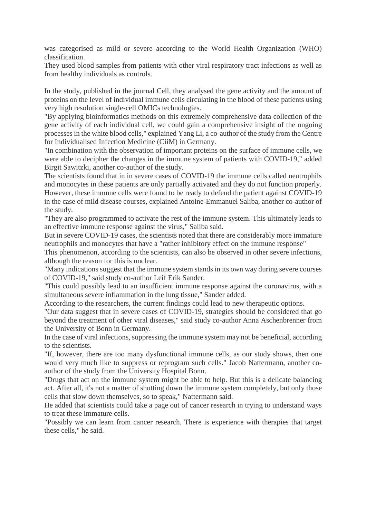was categorised as mild or severe according to the World Health Organization (WHO) classification.

They used blood samples from patients with other viral respiratory tract infections as well as from healthy individuals as controls.

In the study, published in the journal Cell, they analysed the gene activity and the amount of proteins on the level of individual immune cells circulating in the blood of these patients using very high resolution single-cell OMICs technologies.

"By applying bioinformatics methods on this extremely comprehensive data collection of the gene activity of each individual cell, we could gain a comprehensive insight of the ongoing processes in the white blood cells," explained Yang Li, a co-author of the study from the Centre for Individualised Infection Medicine (CiiM) in Germany.

"In combination with the observation of important proteins on the surface of immune cells, we were able to decipher the changes in the immune system of patients with COVID-19," added Birgit Sawitzki, another co-author of the study.

The scientists found that in in severe cases of COVID-19 the immune cells called neutrophils and monocytes in these patients are only partially activated and they do not function properly. However, these immune cells were found to be ready to defend the patient against COVID-19 in the case of mild disease courses, explained Antoine-Emmanuel Saliba, another co-author of the study.

"They are also programmed to activate the rest of the immune system. This ultimately leads to an effective immune response against the virus," Saliba said.

But in severe COVID-19 cases, the scientists noted that there are considerably more immature neutrophils and monocytes that have a "rather inhibitory effect on the immune response"

This phenomenon, according to the scientists, can also be observed in other severe infections, although the reason for this is unclear.

"Many indications suggest that the immune system stands in its own way during severe courses of COVID-19," said study co-author Leif Erik Sander.

"This could possibly lead to an insufficient immune response against the coronavirus, with a simultaneous severe inflammation in the lung tissue," Sander added.

According to the researchers, the current findings could lead to new therapeutic options.

"Our data suggest that in severe cases of COVID-19, strategies should be considered that go beyond the treatment of other viral diseases," said study co-author Anna Aschenbrenner from the University of Bonn in Germany.

In the case of viral infections, suppressing the immune system may not be beneficial, according to the scientists.

"If, however, there are too many dysfunctional immune cells, as our study shows, then one would very much like to suppress or reprogram such cells." Jacob Nattermann, another coauthor of the study from the University Hospital Bonn.

"Drugs that act on the immune system might be able to help. But this is a delicate balancing act. After all, it's not a matter of shutting down the immune system completely, but only those cells that slow down themselves, so to speak," Nattermann said.

He added that scientists could take a page out of cancer research in trying to understand ways to treat these immature cells.

"Possibly we can learn from cancer research. There is experience with therapies that target these cells," he said.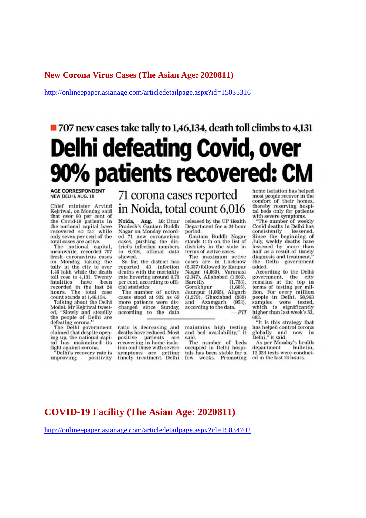#### **New Corona Virus Cases (The Asian Age: 2020811)**

http://onlineepaper.asianage.com/articledetailpage.aspx?id=15035316

# ■ 707 new cases take tally to 1,46,134, death toll climbs to 4,131 **Delhi defeating Covid, over** 90% patients recovered: CM

**AGE CORRESPONDENT** NEW DELHI, AUG. 10

Chief minister Arvind Kejriwal, on Monday, said<br>that over 90 per cent of<br>the Covid-19 patients in the national capital have recovered so far while only seven per cent of the total cases are active.

The national capital, meanwhile, recorded 707 fresh coronavirus cases on Monday, taking the<br>tally in the city to over 1.46 lakh while the death toll rose to 4,131. Twenty<br>fatalities have been fatalities have been<br>recorded in the last 24 hours. The total case count stands at 1,46,134.

Talking about the Delhi Model, Mr Kejriwal tweeted, "Slowly and steadily the people of Delhi are defeating corona.

The Delhi government claimed that despite opening up, the national capital has maintained its<br>fight against corona.

'Delhi's recovery rate is improving: positivity 71 corona cases reported in Noida, total count 6,016

Noida, Aug. 10: Uttar Pradesh's Gautam Buddh Nagar on Monday recorded 71 new coronavirus cases, pushing the dis-<br>trict's infection numbers to 6,016, official data showed.

So far, the district has<br>reported 43 infection<br>deaths with the mortality rate hovering around 0.71 per cent, according to official statistics.

The number of active cases stood at 932 as 68 more patients were discharged since Sunday, according to the data

ratio is decreasing and deaths have reduced. Most positive patients are<br>recovering in home isolation and those with severe symptoms are getting<br>timely treatment. Delhi released by the UP Health Department for a 24-hour period.

Gautam Buddh Nagar stands 11th on the list of districts in the state in terms of active cases.

The maximum active cases are in Lucknow (6,337) followed by Kanpur<br>Nagar (4,860), Varanasi Nagar (4,860), Varanasi<br>(2,347), Allahabad (1,986), Bareilly (1,753), Gorakhpur  $(1.685).$ Jaunpur (1,065), Aligarh  $(1,279)$ , Ghaziabad  $(989)$ <br>and Azamgarh  $(953)$ , according to the data.  $PTI$ 

maintains high testing and bed availability," it said.

The number of beds occupied in Delhi hospitals has been stable for a few weeks. Promoting home isolation has helped most people recover in the comfort of their homes,<br>thereby reserving hospital beds only for patients<br>with severe symptoms.

"The number of weekly Covid deaths in Delhi has consistently lessened. Since the beginning of July, weekly deaths have lessened by more than half as a result of timely diagnosis and treatment, the Delhi government added.

According to the Delhi government, the city<br>remains at the top in the city terms of testing per mil-<br>lion. For every million<br>people in Delhi, 58,963 samples were tested,<br>which is significantly tested. higher than last week's 53, 683.

"It is this strategy that has helped control corona globally and<br>Delhi," it said. now in

As per Monday's health department bulletin. 12,323 tests were conducted in the last 24 hours.

# **COVID-19 Facility (The Asian Age: 2020811)**

http://onlineepaper.asianage.com/articledetailpage.aspx?id=15034702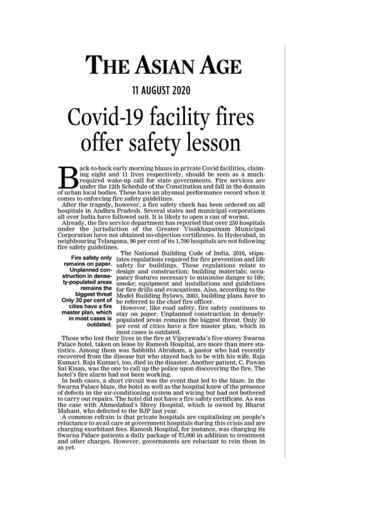# **THE ASIAN AGE**

# **11 AUGUST 2020**

# Covid-19 facility fires offer safety lesson

ack-to-back early morning blazes in private Covid facilities, claiming eight and 11 lives respectively, should be seen as a muchrequired wake-up call for state governments. Fire services are under the 12th Schedule of the Constitution and fall in the domain of urban local bodies. These have an abysmal performance record when it comes to enforcing fire safety guidelines.

After the tragedy, however, a fire safety check has been ordered on all hospitals in Andhra Pradesh. Several states and municipal corporations all over India have followed suit. It is likely to open a can of worms.

Already, the fire service department has reported that over 250 hospitals under the jurisdiction of the Greater Visakhapatnam Municipal Corporation have not obtained no-objection certificates. In Hyderabad, in neighbouring Telangana, 90 per cent of its 1,700 hospitals are not following fire safety guidelines.

Fire safety only remains on paper. Unplanned construction in densely-populated areas remains the biggest threat Only 30 per cent of cities have a fire master plan, which in most cases is outdated.

The National Building Code of India, 2016, stipulates regulations required for fire prevention and life safety for buildings. These regulations relate to<br>design and construction; building materials; occupancy features necessary to minimise danger to life; smoke; equipment and installations and guidelines for fire drills and evacuations. Also, according to the Model Building Bylaws, 2003, building plans have to be referred to the chief fire officer.

However, like road safety, fire safety continues to stay on paper. Unplanned construction in denselypopulated areas remains the biggest threat. Only 30 per cent of cities have a fire master plan, which in most cases is outdated.

Those who lost their lives in the fire at Vijayawada's five-storey Swarna Palace hotel, taken on lease by Ramesh Hospital, are more than mere statistics. Among them was Sabbithi Abraham, a pastor who had recently recovered from the disease but who stayed back to be with his wife, Raja Kumari, Raja Kumari, too, died in the disaster. Another patient, C. Pawan Sai Kisan, was the one to call up the police upon discovering the fire. The hotel's fire alarm had not been working.

In both cases, a short circuit was the event that led to the blaze. In the Swarna Palace blaze, the hotel as well as the hospital knew of the presence of defects in the air-conditioning system and wiring but had not bothered to carry out repairs. The hotel did not have a fire safety certificate. As was the case with Ahmedabad's Shrey Hospital, which is owned by Bharat Mahant, who defected to the BJP last year.

A common refrain is that private hospitals are capitalising on people's reluctance to avail care at government hospitals during this crisis and are charging exorbitant fees. Ramesh Hospital, for instance, was charging its Swarna Palace patients a daily package of ₹5,000 in addition to treatment and other charges. However, governments are reluctant to rein them in as yet.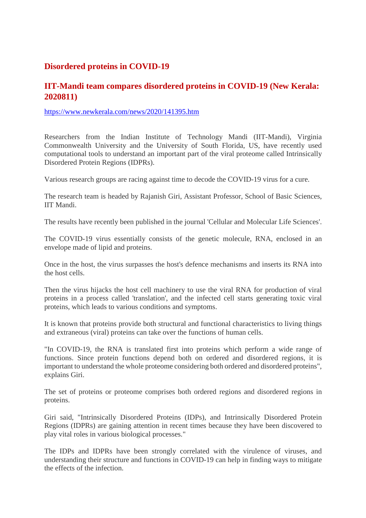# **Disordered proteins in COVID-19**

# **IIT-Mandi team compares disordered proteins in COVID-19 (New Kerala: 2020811)**

https://www.newkerala.com/news/2020/141395.htm

Researchers from the Indian Institute of Technology Mandi (IIT-Mandi), Virginia Commonwealth University and the University of South Florida, US, have recently used computational tools to understand an important part of the viral proteome called Intrinsically Disordered Protein Regions (IDPRs).

Various research groups are racing against time to decode the COVID-19 virus for a cure.

The research team is headed by Rajanish Giri, Assistant Professor, School of Basic Sciences, IIT Mandi.

The results have recently been published in the journal 'Cellular and Molecular Life Sciences'.

The COVID-19 virus essentially consists of the genetic molecule, RNA, enclosed in an envelope made of lipid and proteins.

Once in the host, the virus surpasses the host's defence mechanisms and inserts its RNA into the host cells.

Then the virus hijacks the host cell machinery to use the viral RNA for production of viral proteins in a process called 'translation', and the infected cell starts generating toxic viral proteins, which leads to various conditions and symptoms.

It is known that proteins provide both structural and functional characteristics to living things and extraneous (viral) proteins can take over the functions of human cells.

"In COVID-19, the RNA is translated first into proteins which perform a wide range of functions. Since protein functions depend both on ordered and disordered regions, it is important to understand the whole proteome considering both ordered and disordered proteins", explains Giri.

The set of proteins or proteome comprises both ordered regions and disordered regions in proteins.

Giri said, "Intrinsically Disordered Proteins (IDPs), and Intrinsically Disordered Protein Regions (IDPRs) are gaining attention in recent times because they have been discovered to play vital roles in various biological processes."

The IDPs and IDPRs have been strongly correlated with the virulence of viruses, and understanding their structure and functions in COVID-19 can help in finding ways to mitigate the effects of the infection.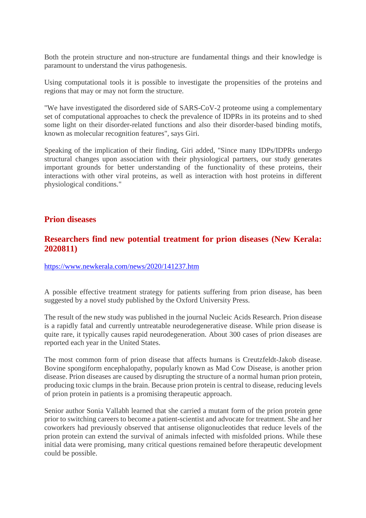Both the protein structure and non-structure are fundamental things and their knowledge is paramount to understand the virus pathogenesis.

Using computational tools it is possible to investigate the propensities of the proteins and regions that may or may not form the structure.

"We have investigated the disordered side of SARS-CoV-2 proteome using a complementary set of computational approaches to check the prevalence of IDPRs in its proteins and to shed some light on their disorder-related functions and also their disorder-based binding motifs, known as molecular recognition features", says Giri.

Speaking of the implication of their finding, Giri added, "Since many IDPs/IDPRs undergo structural changes upon association with their physiological partners, our study generates important grounds for better understanding of the functionality of these proteins, their interactions with other viral proteins, as well as interaction with host proteins in different physiological conditions."

#### **Prion diseases**

## **Researchers find new potential treatment for prion diseases (New Kerala: 2020811)**

https://www.newkerala.com/news/2020/141237.htm

A possible effective treatment strategy for patients suffering from prion disease, has been suggested by a novel study published by the Oxford University Press.

The result of the new study was published in the journal Nucleic Acids Research. Prion disease is a rapidly fatal and currently untreatable neurodegenerative disease. While prion disease is quite rare, it typically causes rapid neurodegeneration. About 300 cases of prion diseases are reported each year in the United States.

The most common form of prion disease that affects humans is Creutzfeldt-Jakob disease. Bovine spongiform encephalopathy, popularly known as Mad Cow Disease, is another prion disease. Prion diseases are caused by disrupting the structure of a normal human prion protein, producing toxic clumps in the brain. Because prion protein is central to disease, reducing levels of prion protein in patients is a promising therapeutic approach.

Senior author Sonia Vallabh learned that she carried a mutant form of the prion protein gene prior to switching careers to become a patient-scientist and advocate for treatment. She and her coworkers had previously observed that antisense oligonucleotides that reduce levels of the prion protein can extend the survival of animals infected with misfolded prions. While these initial data were promising, many critical questions remained before therapeutic development could be possible.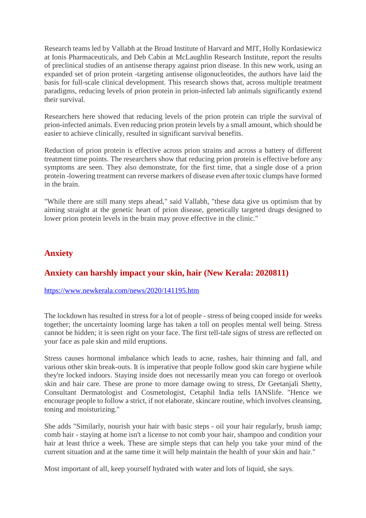Research teams led by Vallabh at the Broad Institute of Harvard and MIT, Holly Kordasiewicz at Ionis Pharmaceuticals, and Deb Cabin at McLaughlin Research Institute, report the results of preclinical studies of an antisense therapy against prion disease. In this new work, using an expanded set of prion protein -targeting antisense oligonucleotides, the authors have laid the basis for full-scale clinical development. This research shows that, across multiple treatment paradigms, reducing levels of prion protein in prion-infected lab animals significantly extend their survival.

Researchers here showed that reducing levels of the prion protein can triple the survival of prion-infected animals. Even reducing prion protein levels by a small amount, which should be easier to achieve clinically, resulted in significant survival benefits.

Reduction of prion protein is effective across prion strains and across a battery of different treatment time points. The researchers show that reducing prion protein is effective before any symptoms are seen. They also demonstrate, for the first time, that a single dose of a prion protein -lowering treatment can reverse markers of disease even after toxic clumps have formed in the brain.

"While there are still many steps ahead," said Vallabh, "these data give us optimism that by aiming straight at the genetic heart of prion disease, genetically targeted drugs designed to lower prion protein levels in the brain may prove effective in the clinic."

# **Anxiety**

# **Anxiety can harshly impact your skin, hair (New Kerala: 2020811)**

#### https://www.newkerala.com/news/2020/141195.htm

The lockdown has resulted in stress for a lot of people - stress of being cooped inside for weeks together; the uncertainty looming large has taken a toll on peoples mental well being. Stress cannot be hidden; it is seen right on your face. The first tell-tale signs of stress are reflected on your face as pale skin and mild eruptions.

Stress causes hormonal imbalance which leads to acne, rashes, hair thinning and fall, and various other skin break-outs. It is imperative that people follow good skin care hygiene while they're locked indoors. Staying inside does not necessarily mean you can forego or overlook skin and hair care. These are prone to more damage owing to stress, Dr Geetanjali Shetty, Consultant Dermatologist and Cosmetologist, Cetaphil India tells IANSlife. "Hence we encourage people to follow a strict, if not elaborate, skincare routine, which involves cleansing, toning and moisturizing."

She adds "Similarly, nourish your hair with basic steps - oil your hair regularly, brush iamp; comb hair - staying at home isn't a license to not comb your hair, shampoo and condition your hair at least thrice a week. These are simple steps that can help you take your mind of the current situation and at the same time it will help maintain the health of your skin and hair."

Most important of all, keep yourself hydrated with water and lots of liquid, she says.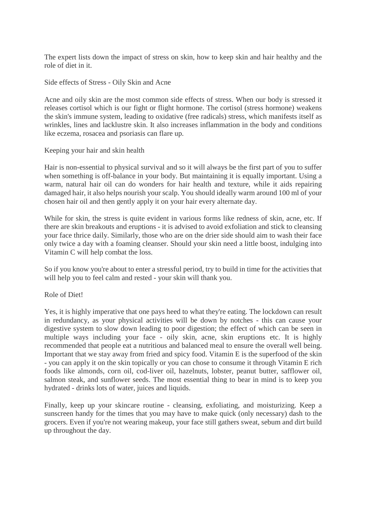The expert lists down the impact of stress on skin, how to keep skin and hair healthy and the role of diet in it.

Side effects of Stress - Oily Skin and Acne

Acne and oily skin are the most common side effects of stress. When our body is stressed it releases cortisol which is our fight or flight hormone. The cortisol (stress hormone) weakens the skin's immune system, leading to oxidative (free radicals) stress, which manifests itself as wrinkles, lines and lacklustre skin. It also increases inflammation in the body and conditions like eczema, rosacea and psoriasis can flare up.

#### Keeping your hair and skin health

Hair is non-essential to physical survival and so it will always be the first part of you to suffer when something is off-balance in your body. But maintaining it is equally important. Using a warm, natural hair oil can do wonders for hair health and texture, while it aids repairing damaged hair, it also helps nourish your scalp. You should ideally warm around 100 ml of your chosen hair oil and then gently apply it on your hair every alternate day.

While for skin, the stress is quite evident in various forms like redness of skin, acne, etc. If there are skin breakouts and eruptions - it is advised to avoid exfoliation and stick to cleansing your face thrice daily. Similarly, those who are on the drier side should aim to wash their face only twice a day with a foaming cleanser. Should your skin need a little boost, indulging into Vitamin C will help combat the loss.

So if you know you're about to enter a stressful period, try to build in time for the activities that will help you to feel calm and rested - your skin will thank you.

#### Role of Diet!

Yes, it is highly imperative that one pays heed to what they're eating. The lockdown can result in redundancy, as your physical activities will be down by notches - this can cause your digestive system to slow down leading to poor digestion; the effect of which can be seen in multiple ways including your face - oily skin, acne, skin eruptions etc. It is highly recommended that people eat a nutritious and balanced meal to ensure the overall well being. Important that we stay away from fried and spicy food. Vitamin E is the superfood of the skin - you can apply it on the skin topically or you can chose to consume it through Vitamin E rich foods like almonds, corn oil, cod-liver oil, hazelnuts, lobster, peanut butter, safflower oil, salmon steak, and sunflower seeds. The most essential thing to bear in mind is to keep you hydrated - drinks lots of water, juices and liquids.

Finally, keep up your skincare routine - cleansing, exfoliating, and moisturizing. Keep a sunscreen handy for the times that you may have to make quick (only necessary) dash to the grocers. Even if you're not wearing makeup, your face still gathers sweat, sebum and dirt build up throughout the day.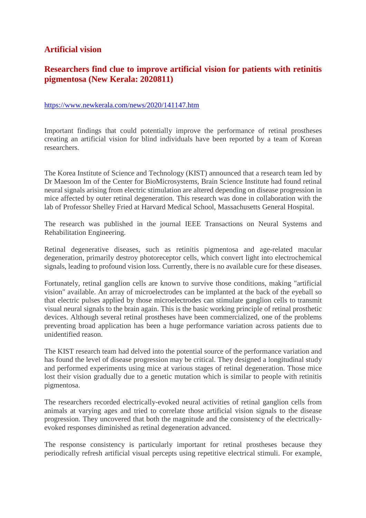# **Artificial vision**

# **Researchers find clue to improve artificial vision for patients with retinitis pigmentosa (New Kerala: 2020811)**

#### https://www.newkerala.com/news/2020/141147.htm

Important findings that could potentially improve the performance of retinal prostheses creating an artificial vision for blind individuals have been reported by a team of Korean researchers.

The Korea Institute of Science and Technology (KIST) announced that a research team led by Dr Maesoon Im of the Center for BioMicrosystems, Brain Science Institute had found retinal neural signals arising from electric stimulation are altered depending on disease progression in mice affected by outer retinal degeneration. This research was done in collaboration with the lab of Professor Shelley Fried at Harvard Medical School, Massachusetts General Hospital.

The research was published in the journal IEEE Transactions on Neural Systems and Rehabilitation Engineering.

Retinal degenerative diseases, such as retinitis pigmentosa and age-related macular degeneration, primarily destroy photoreceptor cells, which convert light into electrochemical signals, leading to profound vision loss. Currently, there is no available cure for these diseases.

Fortunately, retinal ganglion cells are known to survive those conditions, making "artificial vision" available. An array of microelectrodes can be implanted at the back of the eyeball so that electric pulses applied by those microelectrodes can stimulate ganglion cells to transmit visual neural signals to the brain again. This is the basic working principle of retinal prosthetic devices. Although several retinal prostheses have been commercialized, one of the problems preventing broad application has been a huge performance variation across patients due to unidentified reason.

The KIST research team had delved into the potential source of the performance variation and has found the level of disease progression may be critical. They designed a longitudinal study and performed experiments using mice at various stages of retinal degeneration. Those mice lost their vision gradually due to a genetic mutation which is similar to people with retinitis pigmentosa.

The researchers recorded electrically-evoked neural activities of retinal ganglion cells from animals at varying ages and tried to correlate those artificial vision signals to the disease progression. They uncovered that both the magnitude and the consistency of the electricallyevoked responses diminished as retinal degeneration advanced.

The response consistency is particularly important for retinal prostheses because they periodically refresh artificial visual percepts using repetitive electrical stimuli. For example,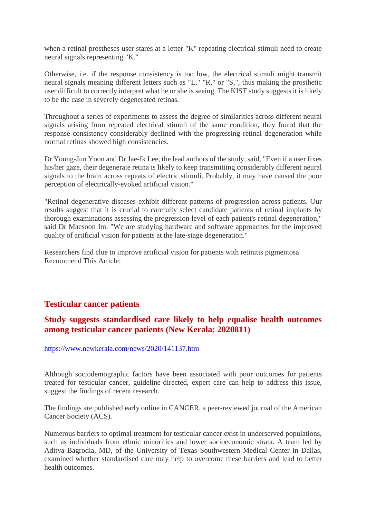when a retinal prostheses user stares at a letter "K" repeating electrical stimuli need to create neural signals representing "K."

Otherwise, i.e. if the response consistency is too low, the electrical stimuli might transmit neural signals meaning different letters such as "L," "R," or "S,", thus making the prosthetic user difficult to correctly interpret what he or she is seeing. The KIST study suggests it is likely to be the case in severely degenerated retinas.

Throughout a series of experiments to assess the degree of similarities across different neural signals arising from repeated electrical stimuli of the same condition, they found that the response consistency considerably declined with the progressing retinal degeneration while normal retinas showed high consistencies.

Dr Young-Jun Yoon and Dr Jae-Ik Lee, the lead authors of the study, said, "Even if a user fixes his/her gaze, their degenerate retina is likely to keep transmitting considerably different neural signals to the brain across repeats of electric stimuli. Probably, it may have caused the poor perception of electrically-evoked artificial vision."

"Retinal degenerative diseases exhibit different patterns of progression across patients. Our results suggest that it is crucial to carefully select candidate patients of retinal implants by thorough examinations assessing the progression level of each patient's retinal degeneration," said Dr Maesoon Im. "We are studying hardware and software approaches for the improved quality of artificial vision for patients at the late-stage degeneration."

Researchers find clue to improve artificial vision for patients with retinitis pigmentosa Recommend This Article:

# **Testicular cancer patients**

# **Study suggests standardised care likely to help equalise health outcomes among testicular cancer patients (New Kerala: 2020811)**

https://www.newkerala.com/news/2020/141137.htm

Although sociodemographic factors have been associated with poor outcomes for patients treated for testicular cancer, guideline-directed, expert care can help to address this issue, suggest the findings of recent research.

The findings are published early online in CANCER, a peer-reviewed journal of the American Cancer Society (ACS).

Numerous barriers to optimal treatment for testicular cancer exist in underserved populations, such as individuals from ethnic minorities and lower socioeconomic strata. A team led by Aditya Bagrodia, MD, of the University of Texas Southwestern Medical Center in Dallas, examined whether standardised care may help to overcome these barriers and lead to better health outcomes.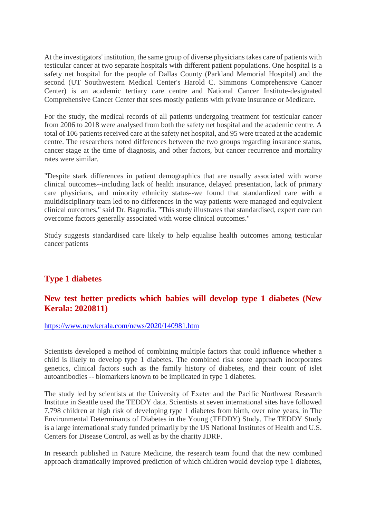At the investigators' institution, the same group of diverse physicians takes care of patients with testicular cancer at two separate hospitals with different patient populations. One hospital is a safety net hospital for the people of Dallas County (Parkland Memorial Hospital) and the second (UT Southwestern Medical Center's Harold C. Simmons Comprehensive Cancer Center) is an academic tertiary care centre and National Cancer Institute-designated Comprehensive Cancer Center that sees mostly patients with private insurance or Medicare.

For the study, the medical records of all patients undergoing treatment for testicular cancer from 2006 to 2018 were analysed from both the safety net hospital and the academic centre. A total of 106 patients received care at the safety net hospital, and 95 were treated at the academic centre. The researchers noted differences between the two groups regarding insurance status, cancer stage at the time of diagnosis, and other factors, but cancer recurrence and mortality rates were similar.

"Despite stark differences in patient demographics that are usually associated with worse clinical outcomes--including lack of health insurance, delayed presentation, lack of primary care physicians, and minority ethnicity status--we found that standardized care with a multidisciplinary team led to no differences in the way patients were managed and equivalent clinical outcomes," said Dr. Bagrodia. "This study illustrates that standardised, expert care can overcome factors generally associated with worse clinical outcomes."

Study suggests standardised care likely to help equalise health outcomes among testicular cancer patients

# **Type 1 diabetes**

# **New test better predicts which babies will develop type 1 diabetes (New Kerala: 2020811)**

https://www.newkerala.com/news/2020/140981.htm

Scientists developed a method of combining multiple factors that could influence whether a child is likely to develop type 1 diabetes. The combined risk score approach incorporates genetics, clinical factors such as the family history of diabetes, and their count of islet autoantibodies -- biomarkers known to be implicated in type 1 diabetes.

The study led by scientists at the University of Exeter and the Pacific Northwest Research Institute in Seattle used the TEDDY data. Scientists at seven international sites have followed 7,798 children at high risk of developing type 1 diabetes from birth, over nine years, in The Environmental Determinants of Diabetes in the Young (TEDDY) Study. The TEDDY Study is a large international study funded primarily by the US National Institutes of Health and U.S. Centers for Disease Control, as well as by the charity JDRF.

In research published in Nature Medicine, the research team found that the new combined approach dramatically improved prediction of which children would develop type 1 diabetes,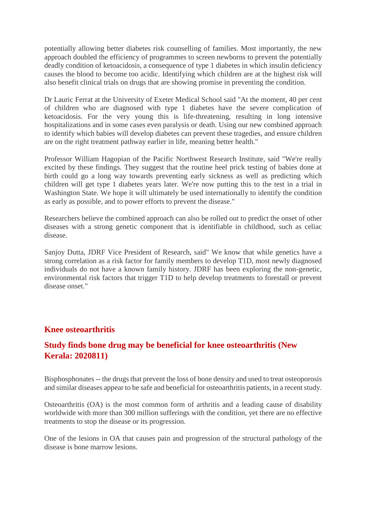potentially allowing better diabetes risk counselling of families. Most importantly, the new approach doubled the efficiency of programmes to screen newborns to prevent the potentially deadly condition of ketoacidosis, a consequence of type 1 diabetes in which insulin deficiency causes the blood to become too acidic. Identifying which children are at the highest risk will also benefit clinical trials on drugs that are showing promise in preventing the condition.

Dr Lauric Ferrat at the University of Exeter Medical School said "At the moment, 40 per cent of children who are diagnosed with type 1 diabetes have the severe complication of ketoacidosis. For the very young this is life-threatening, resulting in long intensive hospitalizations and in some cases even paralysis or death. Using our new combined approach to identify which babies will develop diabetes can prevent these tragedies, and ensure children are on the right treatment pathway earlier in life, meaning better health."

Professor William Hagopian of the Pacific Northwest Research Institute, said "We're really excited by these findings. They suggest that the routine heel prick testing of babies done at birth could go a long way towards preventing early sickness as well as predicting which children will get type 1 diabetes years later. We're now putting this to the test in a trial in Washington State. We hope it will ultimately be used internationally to identify the condition as early as possible, and to power efforts to prevent the disease."

Researchers believe the combined approach can also be rolled out to predict the onset of other diseases with a strong genetic component that is identifiable in childhood, such as celiac disease.

Sanjoy Dutta, JDRF Vice President of Research, said" We know that while genetics have a strong correlation as a risk factor for family members to develop T1D, most newly diagnosed individuals do not have a known family history. JDRF has been exploring the non-genetic, environmental risk factors that trigger T1D to help develop treatments to forestall or prevent disease onset."

## **Knee osteoarthritis**

# **Study finds bone drug may be beneficial for knee osteoarthritis (New Kerala: 2020811)**

Bisphosphonates -- the drugs that prevent the loss of bone density and used to treat osteoporosis and similar diseases appear to be safe and beneficial for osteoarthritis patients, in a recent study.

Osteoarthritis (OA) is the most common form of arthritis and a leading cause of disability worldwide with more than 300 million sufferings with the condition, yet there are no effective treatments to stop the disease or its progression.

One of the lesions in OA that causes pain and progression of the structural pathology of the disease is bone marrow lesions.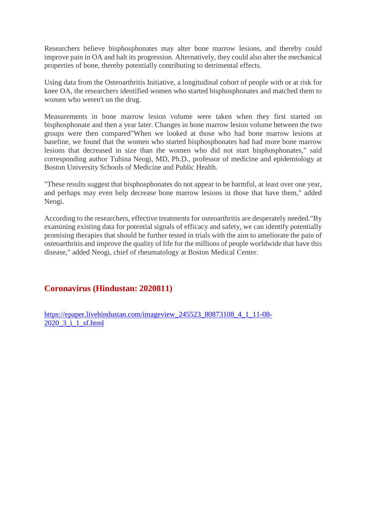Researchers believe bisphosphonates may alter bone marrow lesions, and thereby could improve pain in OA and halt its progression. Alternatively, they could also alter the mechanical properties of bone, thereby potentially contributing to detrimental effects.

Using data from the Osteoarthritis Initiative, a longitudinal cohort of people with or at risk for knee OA, the researchers identified women who started bisphosphonates and matched them to women who weren't on the drug.

Measurements in bone marrow lesion volume were taken when they first started on bisphosphonate and then a year later. Changes in bone marrow lesion volume between the two groups were then compared"When we looked at those who had bone marrow lesions at baseline, we found that the women who started bisphosphonates had had more bone marrow lesions that decreased in size than the women who did not start bisphosphonates," said corresponding author Tuhina Neogi, MD, Ph.D., professor of medicine and epidemiology at Boston University Schools of Medicine and Public Health.

"These results suggest that bisphosphonates do not appear to be harmful, at least over one year, and perhaps may even help decrease bone marrow lesions in those that have them," added Neogi.

According to the researchers, effective treatments for osteoarthritis are desperately needed."By examining existing data for potential signals of efficacy and safety, we can identify potentially promising therapies that should be further tested in trials with the aim to ameliorate the pain of osteoarthritis and improve the quality of life for the millions of people worldwide that have this disease," added Neogi, chief of rheumatology at Boston Medical Center.

# **Coronavirus (Hindustan: 2020811)**

https://epaper.livehindustan.com/imageview\_245523\_80873108\_4\_1\_11-08- 2020\_3\_i\_1\_sf.html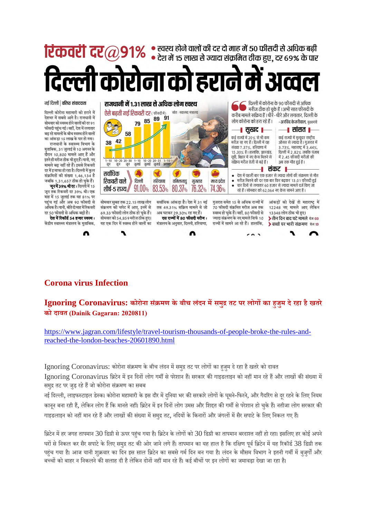**रिकेवरी दर** $@91\%$  स्वस्थ होने वालों की दर दो माह में 50 फीसदी से अधिक बढ़ी<br>स्टे**केवरी दर** 291% . देश में 15 लाख से ज्यादा संक्रमित ठीक हुए, दर 69% के पार

ारीना को हराने में अ देल्ली को

नई दिल्ली | वरिष्ठ संवाददाता दिल्ली कोरोना महामारी को हराने में देशभर में सबसे आगे है। राजधानी में सोमवार को स्वस्थ होने वालों की दर 91 फीसदी पहुंच गई। वहीं देश में लगातार बढ़ रहे मामलों के बीच स्वस्थ होने वालों का आंकडा 15 लाख के पार हो गया। राजधानी के स्वास्थ्य विभाग के मुताबिक, 31 जुलाई से 10 अगस्त के वैरान 10.800 मामले आए हैं और इतने ही मरीज ठीक भी हुए हैं। यानी, नए मामले बढ़ नहीं रहे हैं। इससे रिकवरी दर में इजाफा हो रहा है। दिल्ली में कुल संक्रमितों की संख्या 1,46,134 है जबकि 1,31,657 ठीक हो चुके हैं।

जून में 39% थी दर: दिल्ली में 15 जून तक रिकवरी दर 39% थी। एक माह में 15 जुलाई तक यह 81% पर पहुंच गई और अब 90 फीसदी से अधिक है। वानी, बीते दो माह में रिकवरी दर 50 फीसदी से अधिक बढ़ी है।

देश में रिकॉर्ड 54 हजार स्वस्थ : केंद्रीय स्वास्थ्य मंत्रालय के मुताबिक,



# **Corona virus Infection**

# **Ignoring Coronavirus: कोरोना सं मण के बीच लंदन मसमुतट पर लोगका हजुम देरहा हैखतरे को दावत (Dainik Gagaran: 2020811)**

Λ

https://www.jagran.com/lifestyle/travel-tourism-thousands-of-people-broke-the-rules-andreached-the-london-beaches-20601890.html

Ignoring Coronavirus: कोरोना संक्रमण के बीच लंदन में समुद्र तट पर लोगों का हजुम दे रहा है खतरे को दावत

Ignoring Coronavirus ब्रिटेन में इन दिनों लोग गर्मी से परेशान हैं। सरकार की गाइडलाइन को नहीं मान रहे हैं और लाखों की संख्या में समुद्र तट पर जुड़ रहे हैं जो कोरोना संक्रमण का सबब

नई दिल्ली, लाइफस्टाइल डेस्क। कोरोना महामारी के इस दौर में दनिया भर की सरकारे लोगों के घुमने-फिरने, और गैदरिंग से दूर रहने के लिए नियम कानून बना रही हैं, लेकिन लोग हैं कि मानते नहीं। ब्रिटेन में इन दिनों लोग उमस और शिद्दत की गर्मी से परेशान हो चुके हैं। नतीजा लोग सरकार की गाइडलाइन को नहीं मान रहे हैं और लाखों की संख्या में समुद्र तट, नदियों के किनारों और जंगलों में सैर सपाटे के लिए निकल गए हैं।

ब्रिटेन में हर जगह तापमान 30 डिग्री से ऊपर पहुंच गया है। ब्रिटेन के लोगों को 30 डिग्री का तापमान बरदाश्त नहीं हो रहा। इसलिए हर कोई अपने घरों से निकल कर सैर सपाटे के लिए समुद्र तट की ओर जाने लगे हैं। तापमान का यह हाल है कि दक्षिण पूर्व ब्रिटेन में यह रिकॉर्ड 38 डिग्री तक पहंच गया है। आज यानी शुक्रवार का दिन इस साल ब्रिटेन का सबसे गर्म दिन बन गया है। लंदन के मौसम विभाग ने इतनी गर्मी में बजुर्गों और बच्चों को बाहर न निकलने की सलाह दी है लेकिन दोनों नहीं मान रहे हैं। कई बीचों पर इन लोगों का जमावड़ा देखा जा रहा है।